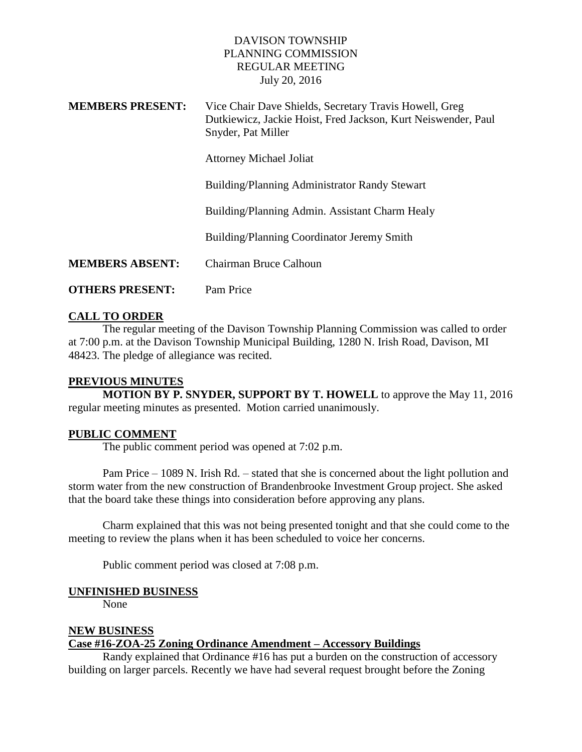### DAVISON TOWNSHIP PLANNING COMMISSION REGULAR MEETING July 20, 2016

| <b>MEMBERS PRESENT:</b> | Vice Chair Dave Shields, Secretary Travis Howell, Greg<br>Dutkiewicz, Jackie Hoist, Fred Jackson, Kurt Neiswender, Paul<br>Snyder, Pat Miller |
|-------------------------|-----------------------------------------------------------------------------------------------------------------------------------------------|
|                         | <b>Attorney Michael Joliat</b>                                                                                                                |
|                         | Building/Planning Administrator Randy Stewart                                                                                                 |
|                         | Building/Planning Admin. Assistant Charm Healy                                                                                                |
|                         | Building/Planning Coordinator Jeremy Smith                                                                                                    |
| <b>MEMBERS ABSENT:</b>  | Chairman Bruce Calhoun                                                                                                                        |
| <b>OTHERS PRESENT:</b>  | Pam Price                                                                                                                                     |

### **CALL TO ORDER**

The regular meeting of the Davison Township Planning Commission was called to order at 7:00 p.m. at the Davison Township Municipal Building, 1280 N. Irish Road, Davison, MI 48423. The pledge of allegiance was recited.

#### **PREVIOUS MINUTES**

**MOTION BY P. SNYDER, SUPPORT BY T. HOWELL** to approve the May 11, 2016 regular meeting minutes as presented. Motion carried unanimously.

### **PUBLIC COMMENT**

The public comment period was opened at 7:02 p.m.

Pam Price – 1089 N. Irish Rd. – stated that she is concerned about the light pollution and storm water from the new construction of Brandenbrooke Investment Group project. She asked that the board take these things into consideration before approving any plans.

Charm explained that this was not being presented tonight and that she could come to the meeting to review the plans when it has been scheduled to voice her concerns.

Public comment period was closed at 7:08 p.m.

#### **UNFINISHED BUSINESS**

None

#### **NEW BUSINESS**

#### **Case #16-ZOA-25 Zoning Ordinance Amendment – Accessory Buildings**

Randy explained that Ordinance #16 has put a burden on the construction of accessory building on larger parcels. Recently we have had several request brought before the Zoning